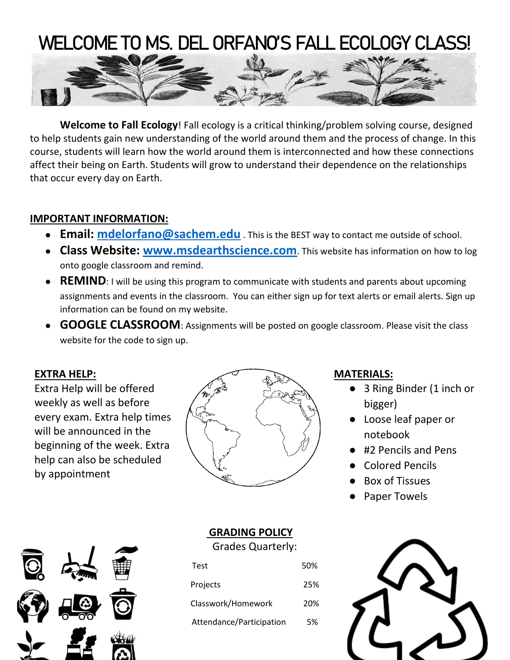# WELCOME TO MS. DEL ORFANO'S FALL ECOLOGY CLASS!



**Welcome to Fall Ecology**! Fall ecology is a critical thinking/problem solving course, designed to help students gain new understanding of the world around them and the process of change. In this course, students will learn how the world around them is interconnected and how these connections affect their being on Earth. Students will grow to understand their dependence on the relationships that occur every day on Earth.

# **IMPORTANT INFORMATION:**

- **Email: mdelorfano@sachem.edu** . This is the BEST way to contact me outside of school.
- **Class Website: [www.msdearthscience.com](http://www.msdearthscience.com/)**. This website has information on how to log onto google classroom and remind.
- **REMIND**: I will be using this program to communicate with students and parents about upcoming assignments and events in the classroom. You can either sign up for text alerts or email alerts. Sign up information can be found on my website.
- **GOOGLE CLASSROOM**: Assignments will be posted on google classroom. Please visit the class website for the code to sign up.

# **EXTRA HELP:**

Extra Help will be offered weekly as well as before every exam. Extra help times will be announced in the beginning of the week. Extra help can also be scheduled by appointment



# **MATERIALS:**

- 3 Ring Binder (1 inch or bigger)
- Loose leaf paper or notebook
- #2 Pencils and Pens
- Colored Pencils
- Box of Tissues
- Paper Towels



# **GRADING POLICY**

Grades Quarterly:

| <b>Test</b>              | 50% |
|--------------------------|-----|
| Projects                 | 25% |
| Classwork/Homework       | 20% |
| Attendance/Participation | 5%  |